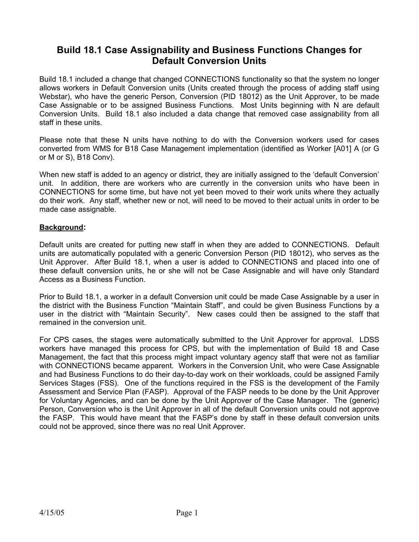# **Build 18.1 Case Assignability and Business Functions Changes for Default Conversion Units**

Build 18.1 included a change that changed CONNECTIONS functionality so that the system no longer allows workers in Default Conversion units (Units created through the process of adding staff using Webstar), who have the generic Person, Conversion (PID 18012) as the Unit Approver, to be made Case Assignable or to be assigned Business Functions. Most Units beginning with N are default Conversion Units. Build 18.1 also included a data change that removed case assignability from all staff in these units.

Please note that these N units have nothing to do with the Conversion workers used for cases converted from WMS for B18 Case Management implementation (identified as Worker [A01] A (or G or M or S), B18 Conv).

When new staff is added to an agency or district, they are initially assigned to the 'default Conversion' unit. In addition, there are workers who are currently in the conversion units who have been in CONNECTIONS for some time, but have not yet been moved to their work units where they actually do their work. Any staff, whether new or not, will need to be moved to their actual units in order to be made case assignable.

# **Background:**

Default units are created for putting new staff in when they are added to CONNECTIONS. Default units are automatically populated with a generic Conversion Person (PID 18012), who serves as the Unit Approver. After Build 18.1, when a user is added to CONNECTIONS and placed into one of these default conversion units, he or she will not be Case Assignable and will have only Standard Access as a Business Function.

Prior to Build 18.1, a worker in a default Conversion unit could be made Case Assignable by a user in the district with the Business Function "Maintain Staff", and could be given Business Functions by a user in the district with "Maintain Security". New cases could then be assigned to the staff that remained in the conversion unit.

For CPS cases, the stages were automatically submitted to the Unit Approver for approval. LDSS workers have managed this process for CPS, but with the implementation of Build 18 and Case Management, the fact that this process might impact voluntary agency staff that were not as familiar with CONNECTIONS became apparent. Workers in the Conversion Unit, who were Case Assignable and had Business Functions to do their day-to-day work on their workloads, could be assigned Family Services Stages (FSS). One of the functions required in the FSS is the development of the Family Assessment and Service Plan (FASP). Approval of the FASP needs to be done by the Unit Approver for Voluntary Agencies, and can be done by the Unit Approver of the Case Manager. The (generic) Person, Conversion who is the Unit Approver in all of the default Conversion units could not approve the FASP. This would have meant that the FASP's done by staff in these default conversion units could not be approved, since there was no real Unit Approver.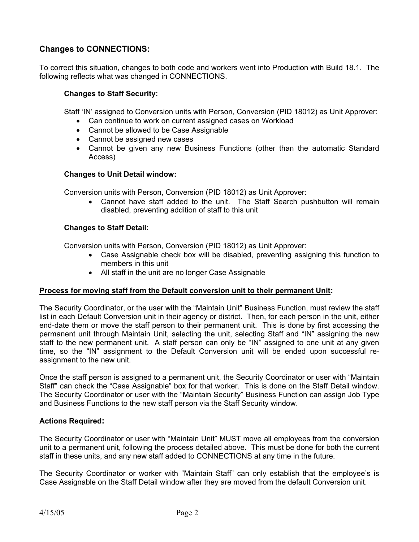# **Changes to CONNECTIONS:**

To correct this situation, changes to both code and workers went into Production with Build 18.1. The following reflects what was changed in CONNECTIONS.

#### **Changes to Staff Security:**

Staff 'IN' assigned to Conversion units with Person, Conversion (PID 18012) as Unit Approver:

- Can continue to work on current assigned cases on Workload
- Cannot be allowed to be Case Assignable
- Cannot be assigned new cases
- Cannot be given any new Business Functions (other than the automatic Standard Access)

#### **Changes to Unit Detail window:**

Conversion units with Person, Conversion (PID 18012) as Unit Approver:

• Cannot have staff added to the unit. The Staff Search pushbutton will remain disabled, preventing addition of staff to this unit

#### **Changes to Staff Detail:**

Conversion units with Person, Conversion (PID 18012) as Unit Approver:

- Case Assignable check box will be disabled, preventing assigning this function to members in this unit
- All staff in the unit are no longer Case Assignable

# **Process for moving staff from the Default conversion unit to their permanent Unit:**

The Security Coordinator, or the user with the "Maintain Unit" Business Function, must review the staff list in each Default Conversion unit in their agency or district. Then, for each person in the unit, either end-date them or move the staff person to their permanent unit. This is done by first accessing the permanent unit through Maintain Unit, selecting the unit, selecting Staff and "IN" assigning the new staff to the new permanent unit. A staff person can only be "IN" assigned to one unit at any given time, so the "IN" assignment to the Default Conversion unit will be ended upon successful reassignment to the new unit.

Once the staff person is assigned to a permanent unit, the Security Coordinator or user with "Maintain Staff" can check the "Case Assignable" box for that worker. This is done on the Staff Detail window. The Security Coordinator or user with the "Maintain Security" Business Function can assign Job Type and Business Functions to the new staff person via the Staff Security window.

#### **Actions Required:**

The Security Coordinator or user with "Maintain Unit" MUST move all employees from the conversion unit to a permanent unit, following the process detailed above. This must be done for both the current staff in these units, and any new staff added to CONNECTIONS at any time in the future.

The Security Coordinator or worker with "Maintain Staff" can only establish that the employee's is Case Assignable on the Staff Detail window after they are moved from the default Conversion unit.